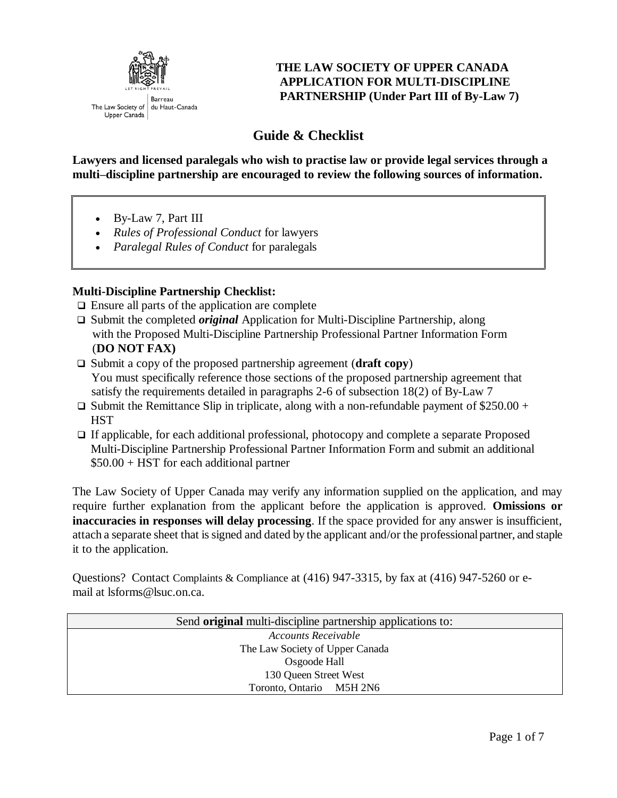

#### **THE LAW SOCIETY OF UPPER CANADA APPLICATION FOR MULTI-DISCIPLINE PARTNERSHIP (Under Part III of By-Law 7)**

# **Guide & Checklist**

**Lawyers and licensed paralegals who wish to practise law or provide legal services through a multi–discipline partnership are encouraged to review the following sources of information.**

- By-Law 7, Part III
- *[Rules of Professional Conduct](http://www.lsuc.on.ca/regulation/a/profconduct/)* for lawyers
- *[Paralegal Rules of Conduct](http://www.lsuc.on.ca/paralegals/a/paralegal-rules-of-conduct/)* for paralegals

#### **Multi-Discipline Partnership Checklist:**

- $\Box$  Ensure all parts of the application are complete
- □ Submit the completed *original* Application for Multi-Discipline Partnership, along with the Proposed Multi-Discipline Partnership Professional Partner Information Form (**DO NOT FAX)**
- □ Submit a copy of the proposed partnership agreement (**draft copy**) You must specifically reference those sections of the proposed partnership agreement that satisfy the requirements detailed in paragraphs 2-6 of subsection 18(2) of By-Law 7
- $\Box$  Submit the Remittance Slip in triplicate, along with a non-refundable payment of \$250.00 + **HST**
- $\Box$  If applicable, for each additional professional, photocopy and complete a separate Proposed Multi-Discipline Partnership Professional Partner Information Form and submit an additional \$50.00 + HST for each additional partner

The Law Society of Upper Canada may verify any information supplied on the application, and may require further explanation from the applicant before the application is approved. **Omissions or inaccuracies in responses will delay processing**. If the space provided for any answer is insufficient, attach a separate sheet that is signed and dated by the applicant and/or the professional partner, and staple it to the application.

Questions? Contact Complaints & Compliance at (416) 947-3315, by fax at (416) 947-5260 or email at lsforms@lsuc.on.ca.

| Send original multi-discipline partnership applications to: |  |  |
|-------------------------------------------------------------|--|--|
| Accounts Receivable                                         |  |  |
| The Law Society of Upper Canada                             |  |  |
| Osgoode Hall                                                |  |  |
| 130 Queen Street West                                       |  |  |
| Toronto, Ontario M5H 2N6                                    |  |  |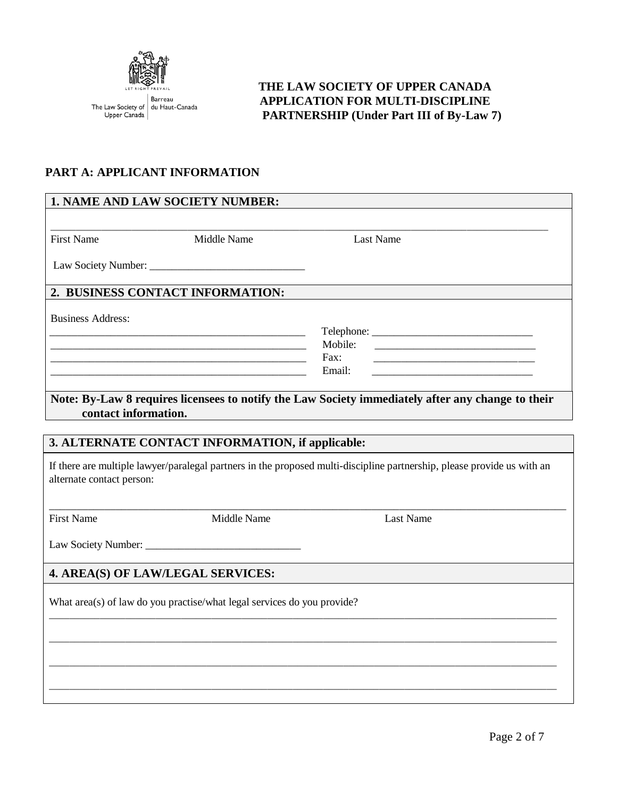

#### **THE LAW SOCIETY OF UPPER CANADA APPLICATION FOR MULTI-DISCIPLINE PARTNERSHIP (Under Part III of By-Law 7)**

## **PART A: APPLICANT INFORMATION**

| 1. NAME AND LAW SOCIETY NUMBER:                                         |                                                                   |                                                                                                                         |
|-------------------------------------------------------------------------|-------------------------------------------------------------------|-------------------------------------------------------------------------------------------------------------------------|
|                                                                         |                                                                   |                                                                                                                         |
| <b>First Name</b>                                                       | Middle Name                                                       | Last Name                                                                                                               |
|                                                                         |                                                                   |                                                                                                                         |
| 2. BUSINESS CONTACT INFORMATION:                                        |                                                                   |                                                                                                                         |
| <b>Business Address:</b>                                                |                                                                   |                                                                                                                         |
|                                                                         | <u> 1989 - Johann John Stone, mars eta biztanleria (h. 1982).</u> |                                                                                                                         |
|                                                                         |                                                                   | Mobile:                                                                                                                 |
|                                                                         |                                                                   | Fax:                                                                                                                    |
|                                                                         |                                                                   | Email:                                                                                                                  |
|                                                                         |                                                                   |                                                                                                                         |
| contact information.                                                    |                                                                   | Note: By-Law 8 requires licensees to notify the Law Society immediately after any change to their                       |
|                                                                         |                                                                   |                                                                                                                         |
| 3. ALTERNATE CONTACT INFORMATION, if applicable:                        |                                                                   |                                                                                                                         |
| alternate contact person:                                               |                                                                   | If there are multiple lawyer/paralegal partners in the proposed multi-discipline partnership, please provide us with an |
| <b>First Name</b>                                                       | Middle Name                                                       | <b>Last Name</b>                                                                                                        |
|                                                                         |                                                                   |                                                                                                                         |
| 4. AREA(S) OF LAW/LEGAL SERVICES:                                       |                                                                   |                                                                                                                         |
| What area(s) of law do you practise/what legal services do you provide? |                                                                   |                                                                                                                         |
|                                                                         |                                                                   |                                                                                                                         |
|                                                                         |                                                                   |                                                                                                                         |
|                                                                         |                                                                   |                                                                                                                         |
|                                                                         |                                                                   |                                                                                                                         |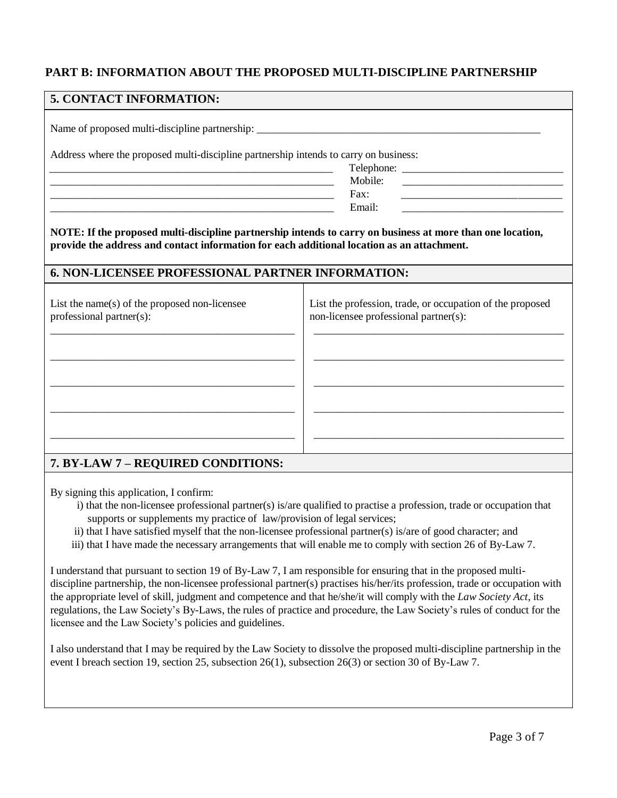#### **PART B: INFORMATION ABOUT THE PROPOSED MULTI-DISCIPLINE PARTNERSHIP**

| 5. CONTACT INFORMATION:                                                                                                                                                                                  |                                                                                                    |  |  |
|----------------------------------------------------------------------------------------------------------------------------------------------------------------------------------------------------------|----------------------------------------------------------------------------------------------------|--|--|
|                                                                                                                                                                                                          |                                                                                                    |  |  |
| Address where the proposed multi-discipline partnership intends to carry on business:                                                                                                                    |                                                                                                    |  |  |
| <u> 1980 - Johann John Stone, mars and de British and de British and de British and de British and de British an</u>                                                                                     |                                                                                                    |  |  |
|                                                                                                                                                                                                          | Mobile:<br><u> 1980 - Jan Barnett, fransk politik (d. 1980)</u>                                    |  |  |
| Fax:<br><u> 1989 - Johann John Stone, mars eta bat eta bat eta bat ez arte eta bat ez arte eta bat ez arte ez arte ez ar</u>                                                                             |                                                                                                    |  |  |
| <u> 1980 - Jan James James Jan James James James James James James James James James James James James James Jam</u>                                                                                     | Email:                                                                                             |  |  |
| NOTE: If the proposed multi-discipline partnership intends to carry on business at more than one location,<br>provide the address and contact information for each additional location as an attachment. |                                                                                                    |  |  |
| <b>6. NON-LICENSEE PROFESSIONAL PARTNER INFORMATION:</b>                                                                                                                                                 |                                                                                                    |  |  |
| List the name $(s)$ of the proposed non-licensee<br>professional partner(s):                                                                                                                             | List the profession, trade, or occupation of the proposed<br>non-licensee professional partner(s): |  |  |
|                                                                                                                                                                                                          |                                                                                                    |  |  |
|                                                                                                                                                                                                          |                                                                                                    |  |  |
|                                                                                                                                                                                                          |                                                                                                    |  |  |
|                                                                                                                                                                                                          |                                                                                                    |  |  |

#### **7. BY-LAW 7 – REQUIRED CONDITIONS:**

By signing this application, I confirm:

- i) that the non-licensee professional partner(s) is/are qualified to practise a profession, trade or occupation that supports or supplements my practice of law/provision of legal services;
- ii) that I have satisfied myself that the non-licensee professional partner(s) is/are of good character; and
- iii) that I have made the necessary arrangements that will enable me to comply with section 26 of By-Law 7.

I understand that pursuant to section 19 of By-Law 7, I am responsible for ensuring that in the proposed multidiscipline partnership, the non-licensee professional partner(s) practises his/her/its profession, trade or occupation with the appropriate level of skill, judgment and competence and that he/she/it will comply with the *Law Society Act*, its regulations, the Law Society's By-Laws, the rules of practice and procedure, the Law Society's rules of conduct for the licensee and the Law Society's policies and guidelines.

I also understand that I may be required by the Law Society to dissolve the proposed multi-discipline partnership in the event I breach section 19, section 25, subsection 26(1), subsection 26(3) or section 30 of By-Law 7.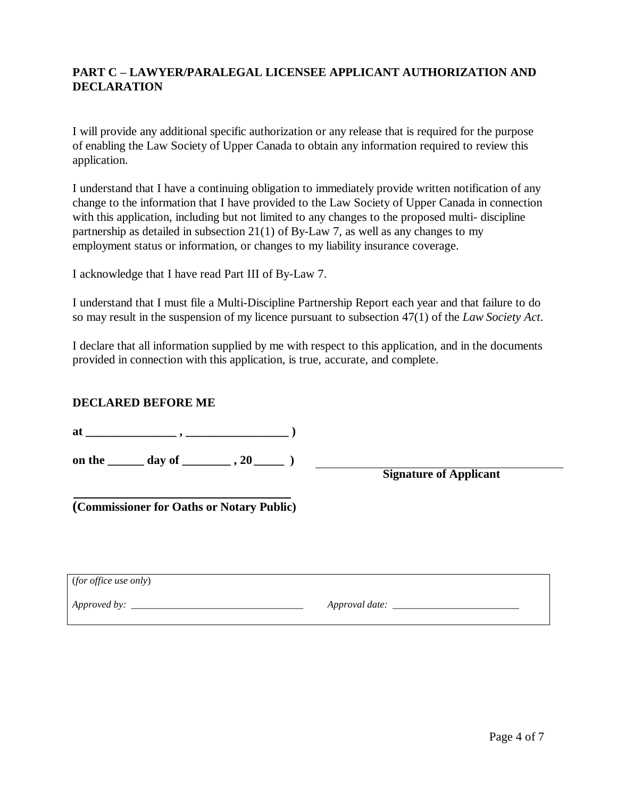#### **PART C – LAWYER/PARALEGAL LICENSEE APPLICANT AUTHORIZATION AND DECLARATION**

I will provide any additional specific authorization or any release that is required for the purpose of enabling the Law Society of Upper Canada to obtain any information required to review this application.

I understand that I have a continuing obligation to immediately provide written notification of any change to the information that I have provided to the Law Society of Upper Canada in connection with this application, including but not limited to any changes to the proposed multi- discipline partnership as detailed in subsection 21(1) of By-Law 7, as well as any changes to my employment status or information, or changes to my liability insurance coverage.

I acknowledge that I have read Part III of By-Law 7.

I understand that I must file a Multi-Discipline Partnership Report each year and that failure to do so may result in the suspension of my licence pursuant to subsection 47(1) of the *Law Society Act*.

I declare that all information supplied by me with respect to this application, and in the documents provided in connection with this application, is true, accurate, and complete.

#### **DECLARED BEFORE ME**

**at \_\_\_\_\_\_\_\_\_\_\_\_\_\_\_ , \_\_\_\_\_\_\_\_\_\_\_\_\_\_\_\_\_ )** 

on the \_\_\_\_\_\_ day of \_\_\_\_\_\_\_\_ , 20 \_\_\_\_\_\_ )

 **Signature of Applicant**

**(Commissioner for Oaths or Notary Public)**

| (for office use only) |                |
|-----------------------|----------------|
| Approved by:          | Approval date: |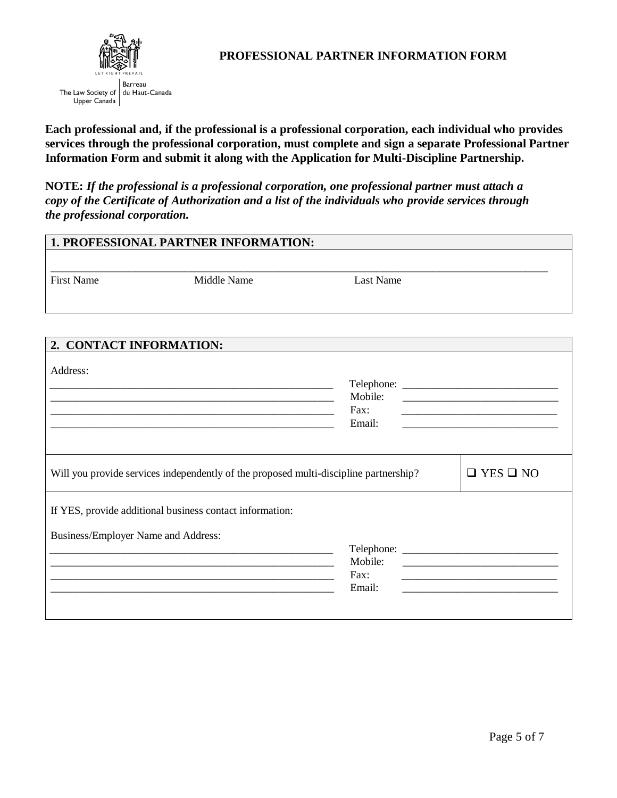

**Each professional and, if the professional is a professional corporation, each individual who provides services through the professional corporation, must complete and sign a separate Professional Partner Information Form and submit it along with the Application for Multi-Discipline Partnership.**

**NOTE:** *If the professional is a professional corporation, one professional partner must attach a copy of the Certificate of Authorization and a list of the individuals who provide services through the professional corporation.*

| 1. PROFESSIONAL PARTNER INFORMATION: |                                                                                                                     |                           |                                                                    |
|--------------------------------------|---------------------------------------------------------------------------------------------------------------------|---------------------------|--------------------------------------------------------------------|
|                                      |                                                                                                                     |                           |                                                                    |
| <b>First Name</b>                    | Middle Name                                                                                                         | <b>Last Name</b>          |                                                                    |
|                                      |                                                                                                                     |                           |                                                                    |
|                                      |                                                                                                                     |                           |                                                                    |
| 2. CONTACT INFORMATION:              |                                                                                                                     |                           |                                                                    |
| Address:                             | <u> 1980 - Johann Barbara, martxa alemaniar argumento este alemaniar alemaniar alemaniar alemaniar alemaniar al</u> | Mobile:<br>Fax:<br>Email: | <u> 1989 - Johann John Stone, mensk politik fotograf (d. 1989)</u> |
|                                      | Will you provide services independently of the proposed multi-discipline partnership?                               |                           | $\Box$ YES $\Box$ NO                                               |
| Business/Employer Name and Address:  | If YES, provide additional business contact information:                                                            | Mobile:<br>Fax:<br>Email: |                                                                    |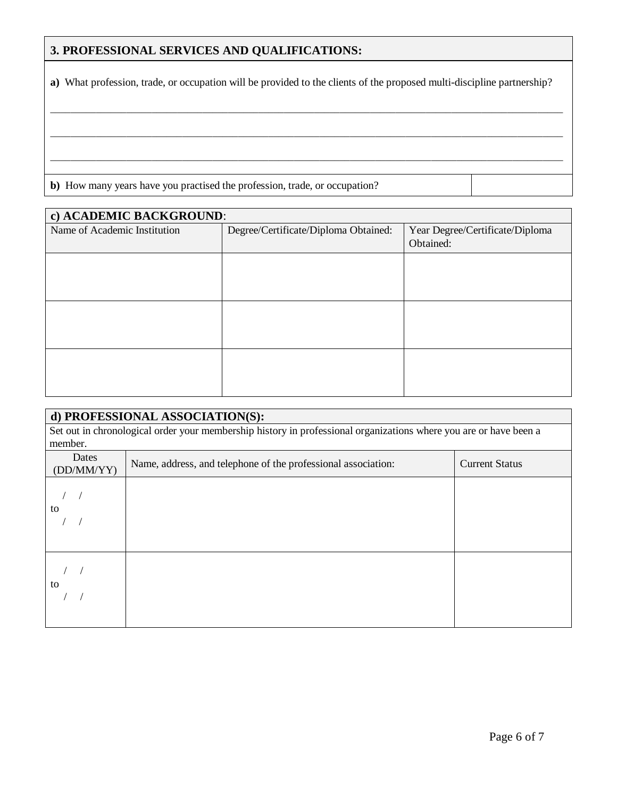### **3. PROFESSIONAL SERVICES AND QUALIFICATIONS:**

**a)** What profession, trade, or occupation will be provided to the clients of the proposed multi-discipline partnership?

\_\_\_\_\_\_\_\_\_\_\_\_\_\_\_\_\_\_\_\_\_\_\_\_\_\_\_\_\_\_\_\_\_\_\_\_\_\_\_\_\_\_\_\_\_\_\_\_\_\_\_\_\_\_\_\_\_\_\_\_\_\_\_\_\_\_\_\_\_\_\_\_\_\_\_\_\_\_\_\_\_\_\_\_\_\_\_\_\_\_\_\_\_\_\_\_\_\_\_\_\_

\_\_\_\_\_\_\_\_\_\_\_\_\_\_\_\_\_\_\_\_\_\_\_\_\_\_\_\_\_\_\_\_\_\_\_\_\_\_\_\_\_\_\_\_\_\_\_\_\_\_\_\_\_\_\_\_\_\_\_\_\_\_\_\_\_\_\_\_\_\_\_\_\_\_\_\_\_\_\_\_\_\_\_\_\_\_\_\_\_\_\_\_\_\_\_\_\_\_\_\_\_

\_\_\_\_\_\_\_\_\_\_\_\_\_\_\_\_\_\_\_\_\_\_\_\_\_\_\_\_\_\_\_\_\_\_\_\_\_\_\_\_\_\_\_\_\_\_\_\_\_\_\_\_\_\_\_\_\_\_\_\_\_\_\_\_\_\_\_\_\_\_\_\_\_\_\_\_\_\_\_\_\_\_\_\_\_\_\_\_\_\_\_\_\_\_\_\_\_\_\_\_\_

**b)** How many years have you practised the profession, trade, or occupation?

| c) ACADEMIC BACKGROUND:      |                                      |                                 |  |
|------------------------------|--------------------------------------|---------------------------------|--|
| Name of Academic Institution | Degree/Certificate/Diploma Obtained: | Year Degree/Certificate/Diploma |  |
|                              |                                      | Obtained:                       |  |
|                              |                                      |                                 |  |
|                              |                                      |                                 |  |
|                              |                                      |                                 |  |
|                              |                                      |                                 |  |
|                              |                                      |                                 |  |
|                              |                                      |                                 |  |
|                              |                                      |                                 |  |
|                              |                                      |                                 |  |
|                              |                                      |                                 |  |

| d) PROFESSIONAL ASSOCIATION(S): |                                                                                                                   |                       |  |
|---------------------------------|-------------------------------------------------------------------------------------------------------------------|-----------------------|--|
|                                 | Set out in chronological order your membership history in professional organizations where you are or have been a |                       |  |
| member.                         |                                                                                                                   |                       |  |
| Dates<br>(DD/MM/YY)             | Name, address, and telephone of the professional association:                                                     | <b>Current Status</b> |  |
| to                              |                                                                                                                   |                       |  |
| to                              |                                                                                                                   |                       |  |